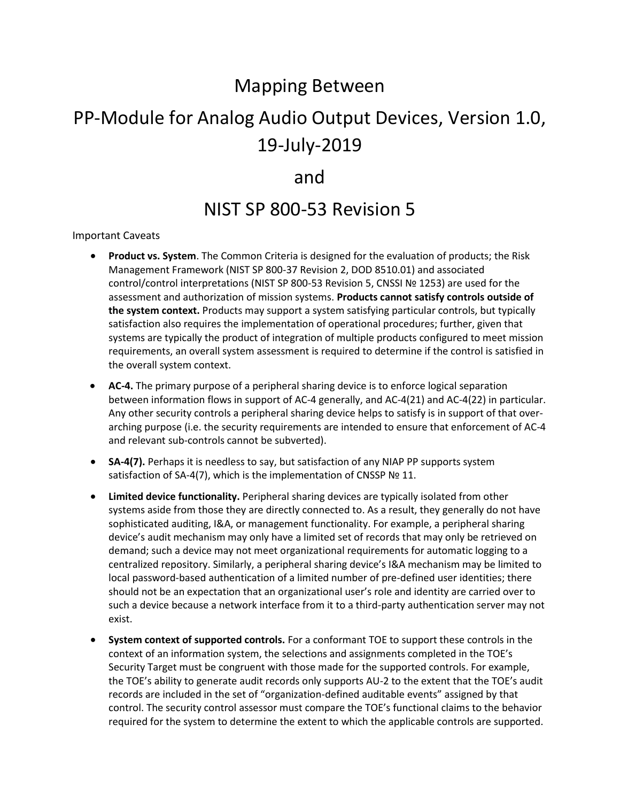# Mapping Between

# PP-Module for Analog Audio Output Devices, Version 1.0, 19-July-2019

### and

## NIST SP 800-53 Revision 5

#### Important Caveats

- **Product vs. System**. The Common Criteria is designed for the evaluation of products; the Risk Management Framework (NIST SP 800-37 Revision 2, DOD 8510.01) and associated control/control interpretations (NIST SP 800-53 Revision 5, CNSSI № 1253) are used for the assessment and authorization of mission systems. **Products cannot satisfy controls outside of the system context.** Products may support a system satisfying particular controls, but typically satisfaction also requires the implementation of operational procedures; further, given that systems are typically the product of integration of multiple products configured to meet mission requirements, an overall system assessment is required to determine if the control is satisfied in the overall system context.
- **AC-4.** The primary purpose of a peripheral sharing device is to enforce logical separation between information flows in support of AC-4 generally, and AC-4(21) and AC-4(22) in particular. Any other security controls a peripheral sharing device helps to satisfy is in support of that overarching purpose (i.e. the security requirements are intended to ensure that enforcement of AC-4 and relevant sub-controls cannot be subverted).
- **SA-4(7).** Perhaps it is needless to say, but satisfaction of any NIAP PP supports system satisfaction of SA-4(7), which is the implementation of CNSSP № 11.
- **Limited device functionality.** Peripheral sharing devices are typically isolated from other systems aside from those they are directly connected to. As a result, they generally do not have sophisticated auditing, I&A, or management functionality. For example, a peripheral sharing device's audit mechanism may only have a limited set of records that may only be retrieved on demand; such a device may not meet organizational requirements for automatic logging to a centralized repository. Similarly, a peripheral sharing device's I&A mechanism may be limited to local password-based authentication of a limited number of pre-defined user identities; there should not be an expectation that an organizational user's role and identity are carried over to such a device because a network interface from it to a third-party authentication server may not exist.
- **System context of supported controls.** For a conformant TOE to support these controls in the context of an information system, the selections and assignments completed in the TOE's Security Target must be congruent with those made for the supported controls. For example, the TOE's ability to generate audit records only supports AU-2 to the extent that the TOE's audit records are included in the set of "organization-defined auditable events" assigned by that control. The security control assessor must compare the TOE's functional claims to the behavior required for the system to determine the extent to which the applicable controls are supported.